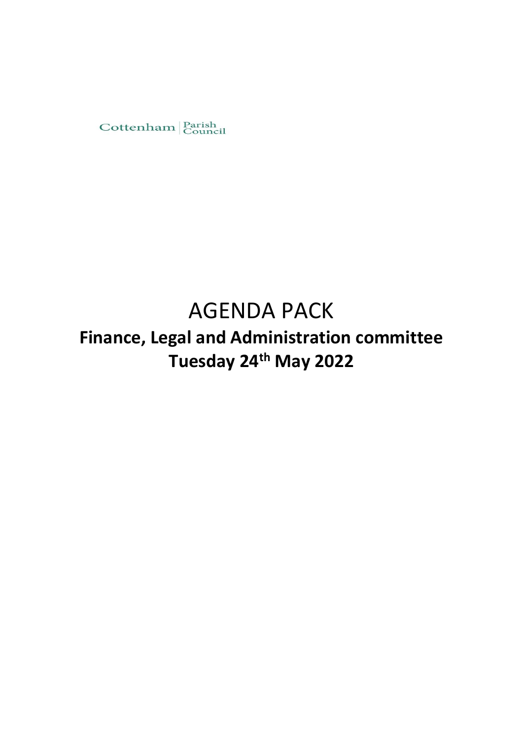

# AGENDA PACK

**Finance, Legal and Administration committee Tuesday 24th May 2022**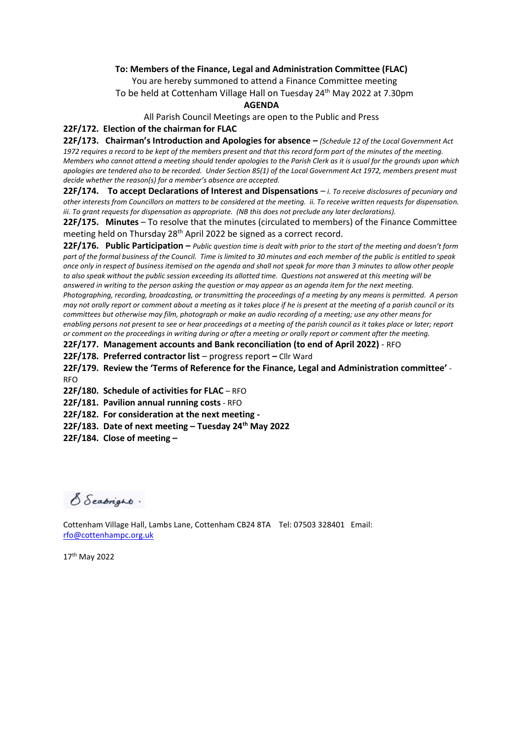#### **To: Members of the Finance, Legal and Administration Committee (FLAC)**

You are hereby summoned to attend a Finance Committee meeting To be held at Cottenham Village Hall on Tuesday 24<sup>th</sup> May 2022 at 7.30pm

#### **AGENDA**

All Parish Council Meetings are open to the Public and Press

#### **22F/172. Election of the chairman for FLAC**

**22F/173. Chairman's Introduction and Apologies for absence –** *(Schedule 12 of the Local Government Act 1972 requires a record to be kept of the members present and that this record form part of the minutes of the meeting. Members who cannot attend a meeting should tender apologies to the Parish Clerk as it is usual for the grounds upon which apologies are tendered also to be recorded. Under Section 85(1) of the Local Government Act 1972, members present must decide whether the reason(s) for a member's absence are accepted.* 

**22F/174. To accept Declarations of Interest and Dispensations** – *i. To receive disclosures of pecuniary and other interests from Councillors on matters to be considered at the meeting. ii. To receive written requests for dispensation. iii. To grant requests for dispensation as appropriate. (NB this does not preclude any later declarations).* 

**22F/175. Minutes** – To resolve that the minutes (circulated to members) of the Finance Committee meeting held on Thursday 28<sup>th</sup> April 2022 be signed as a correct record.

**22F/176. Public Participation –** *Public question time is dealt with prior to the start of the meeting and doesn't form part of the formal business of the Council. Time is limited to 30 minutes and each member of the public is entitled to speak once only in respect of business itemised on the agenda and shall not speak for more than 3 minutes to allow other people to also speak without the public session exceeding its allotted time. Questions not answered at this meeting will be answered in writing to the person asking the question or may appear as an agenda item for the next meeting. Photographing, recording, broadcasting, or transmitting the proceedings of a meeting by any means is permitted. A person may not orally report or comment about a meeting as it takes place if he is present at the meeting of a parish council or its committees but otherwise may film, photograph or make an audio recording of a meeting; use any other means for enabling persons not present to see or hear proceedings at a meeting of the parish council as it takes place or later; report or comment on the proceedings in writing during or after a meeting or orally report or comment after the meeting.* 

**22F/177. Management accounts and Bank reconciliation (to end of April 2022)** - RFO

**22F/178. Preferred contractor list** – progress report **–** Cllr Ward

**22F/179. Review the 'Terms of Reference for the Finance, Legal and Administration committee'** - RFO

**22F/180. Schedule of activities for FLAC** – RFO

**22F/181. Pavilion annual running costs** - RFO

**22F/182. For consideration at the next meeting -**

**22F/183. Date of next meeting – Tuesday 24 th May 2022**

**22F/184. Close of meeting –**

S Seabright.

Cottenham Village Hall, Lambs Lane, Cottenham CB24 8TA Tel: 07503 328401 Email: [rfo@cottenhampc.org.uk](mailto:rfo@cottenhampc.org.uk)

17th May 2022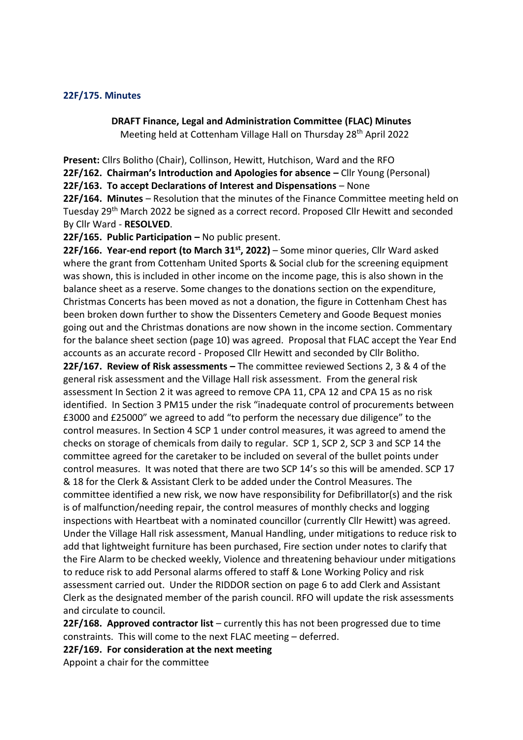#### **22F/175. Minutes**

**DRAFT Finance, Legal and Administration Committee (FLAC) Minutes** Meeting held at Cottenham Village Hall on Thursday 28th April 2022

**Present:** Cllrs Bolitho (Chair), Collinson, Hewitt, Hutchison, Ward and the RFO **22F/162. Chairman's Introduction and Apologies for absence –** Cllr Young (Personal) **22F/163. To accept Declarations of Interest and Dispensations** – None **22F/164. Minutes** – Resolution that the minutes of the Finance Committee meeting held on Tuesday 29th March 2022 be signed as a correct record. Proposed Cllr Hewitt and seconded By Cllr Ward - **RESOLVED**.

**22F/165. Public Participation –** No public present.

**22F/166. Year-end report (to March 31st, 2022)** – Some minor queries, Cllr Ward asked where the grant from Cottenham United Sports & Social club for the screening equipment was shown, this is included in other income on the income page, this is also shown in the balance sheet as a reserve. Some changes to the donations section on the expenditure, Christmas Concerts has been moved as not a donation, the figure in Cottenham Chest has been broken down further to show the Dissenters Cemetery and Goode Bequest monies going out and the Christmas donations are now shown in the income section. Commentary for the balance sheet section (page 10) was agreed. Proposal that FLAC accept the Year End accounts as an accurate record - Proposed Cllr Hewitt and seconded by Cllr Bolitho. **22F/167. Review of Risk assessments –** The committee reviewed Sections 2, 3 & 4 of the general risk assessment and the Village Hall risk assessment. From the general risk assessment In Section 2 it was agreed to remove CPA 11, CPA 12 and CPA 15 as no risk identified. In Section 3 PM15 under the risk "inadequate control of procurements between £3000 and £25000" we agreed to add "to perform the necessary due diligence" to the control measures. In Section 4 SCP 1 under control measures, it was agreed to amend the checks on storage of chemicals from daily to regular. SCP 1, SCP 2, SCP 3 and SCP 14 the committee agreed for the caretaker to be included on several of the bullet points under control measures. It was noted that there are two SCP 14's so this will be amended. SCP 17 & 18 for the Clerk & Assistant Clerk to be added under the Control Measures. The committee identified a new risk, we now have responsibility for Defibrillator(s) and the risk is of malfunction/needing repair, the control measures of monthly checks and logging inspections with Heartbeat with a nominated councillor (currently Cllr Hewitt) was agreed. Under the Village Hall risk assessment, Manual Handling, under mitigations to reduce risk to add that lightweight furniture has been purchased, Fire section under notes to clarify that the Fire Alarm to be checked weekly, Violence and threatening behaviour under mitigations to reduce risk to add Personal alarms offered to staff & Lone Working Policy and risk assessment carried out. Under the RIDDOR section on page 6 to add Clerk and Assistant Clerk as the designated member of the parish council. RFO will update the risk assessments and circulate to council.

**22F/168. Approved contractor list** – currently this has not been progressed due to time constraints. This will come to the next FLAC meeting – deferred.

**22F/169. For consideration at the next meeting** 

Appoint a chair for the committee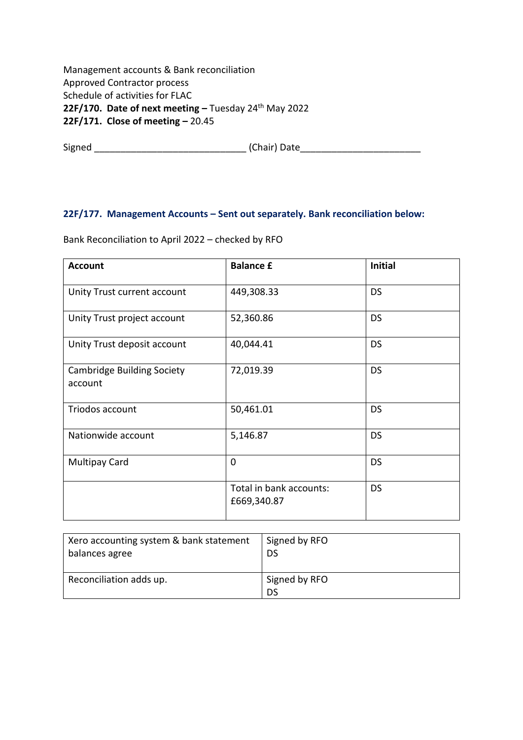Management accounts & Bank reconciliation Approved Contractor process Schedule of activities for FLAC **22F/170. Date of next meeting –** Tuesday 24th May 2022 **22F/171. Close of meeting –** 20.45

Signed \_\_\_\_\_\_\_\_\_\_\_\_\_\_\_\_\_\_\_\_\_\_\_\_\_\_\_\_\_ (Chair) Date\_\_\_\_\_\_\_\_\_\_\_\_\_\_\_\_\_\_\_\_\_\_\_

## **22F/177. Management Accounts – Sent out separately. Bank reconciliation below:**

| <b>Account</b>                               | <b>Balance £</b>                       | <b>Initial</b> |
|----------------------------------------------|----------------------------------------|----------------|
| Unity Trust current account                  | 449,308.33                             | <b>DS</b>      |
| Unity Trust project account                  | 52,360.86                              | <b>DS</b>      |
| Unity Trust deposit account                  | 40,044.41                              | <b>DS</b>      |
| <b>Cambridge Building Society</b><br>account | 72,019.39                              | <b>DS</b>      |
| Triodos account                              | 50,461.01                              | <b>DS</b>      |
| Nationwide account                           | 5,146.87                               | <b>DS</b>      |
| <b>Multipay Card</b>                         | 0                                      | <b>DS</b>      |
|                                              | Total in bank accounts:<br>£669,340.87 | <b>DS</b>      |

Bank Reconciliation to April 2022 – checked by RFO

| Xero accounting system & bank statement | Signed by RFO       |
|-----------------------------------------|---------------------|
| balances agree                          | DS                  |
| Reconciliation adds up.                 | Signed by RFO<br>DS |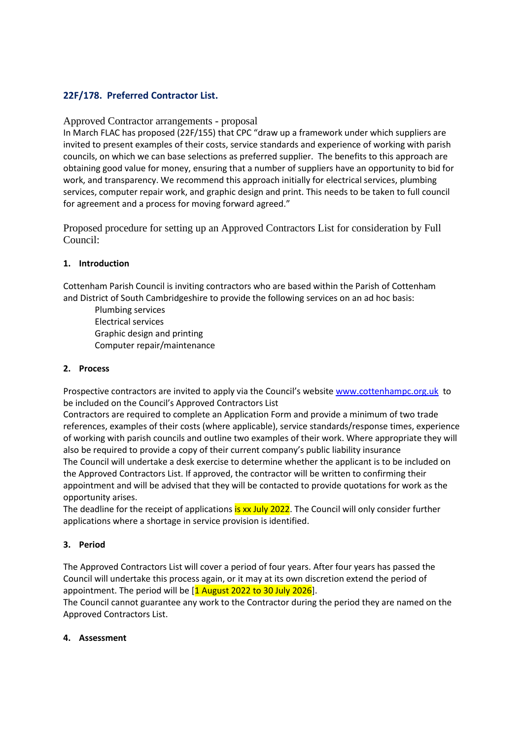## **22F/178. Preferred Contractor List.**

#### Approved Contractor arrangements - proposal

In March FLAC has proposed (22F/155) that CPC "draw up a framework under which suppliers are invited to present examples of their costs, service standards and experience of working with parish councils, on which we can base selections as preferred supplier. The benefits to this approach are obtaining good value for money, ensuring that a number of suppliers have an opportunity to bid for work, and transparency. We recommend this approach initially for electrical services, plumbing services, computer repair work, and graphic design and print. This needs to be taken to full council for agreement and a process for moving forward agreed."

Proposed procedure for setting up an Approved Contractors List for consideration by Full Council:

#### **1. Introduction**

Cottenham Parish Council is inviting contractors who are based within the Parish of Cottenham and District of South Cambridgeshire to provide the following services on an ad hoc basis:

Plumbing services Electrical services Graphic design and printing Computer repair/maintenance

#### **2. Process**

Prospective contractors are invited to apply via the Council's website [www.cottenhampc.org.uk](https://www.cottenhampc.org.uk/) to be included on the Council's Approved Contractors List

Contractors are required to complete an Application Form and provide a minimum of two trade references, examples of their costs (where applicable), service standards/response times, experience of working with parish councils and outline two examples of their work. Where appropriate they will also be required to provide a copy of their current company's public liability insurance The Council will undertake a desk exercise to determine whether the applicant is to be included on the Approved Contractors List. If approved, the contractor will be written to confirming their appointment and will be advised that they will be contacted to provide quotations for work as the opportunity arises.

The deadline for the receipt of applications is xx July 2022. The Council will only consider further applications where a shortage in service provision is identified.

#### **3. Period**

The Approved Contractors List will cover a period of four years. After four years has passed the Council will undertake this process again, or it may at its own discretion extend the period of appointment. The period will be [1 August 2022 to 30 July 2026].

The Council cannot guarantee any work to the Contractor during the period they are named on the Approved Contractors List.

#### **4. Assessment**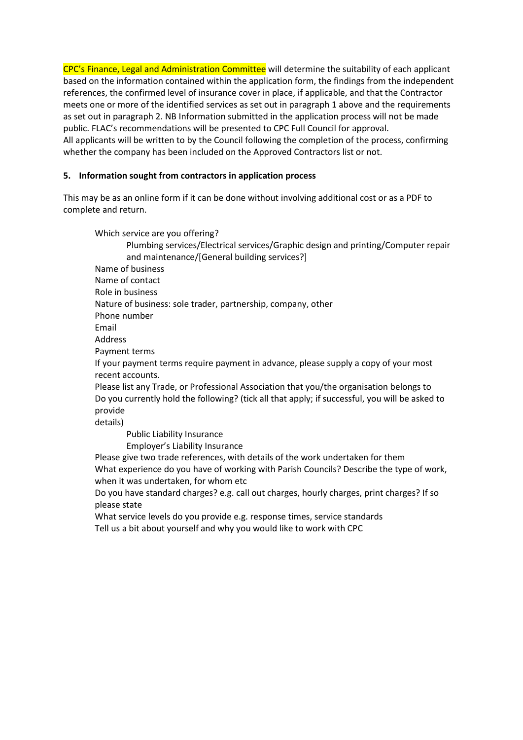CPC's Finance, Legal and Administration Committee will determine the suitability of each applicant based on the information contained within the application form, the findings from the independent references, the confirmed level of insurance cover in place, if applicable, and that the Contractor meets one or more of the identified services as set out in paragraph 1 above and the requirements as set out in paragraph 2. NB Information submitted in the application process will not be made public. FLAC's recommendations will be presented to CPC Full Council for approval. All applicants will be written to by the Council following the completion of the process, confirming whether the company has been included on the Approved Contractors list or not.

## **5. Information sought from contractors in application process**

This may be as an online form if it can be done without involving additional cost or as a PDF to complete and return.

Which service are you offering? Plumbing services/Electrical services/Graphic design and printing/Computer repair and maintenance/[General building services?] Name of business Name of contact Role in business Nature of business: sole trader, partnership, company, other Phone number Email Address Payment terms If your payment terms require payment in advance, please supply a copy of your most recent accounts. Please list any Trade, or Professional Association that you/the organisation belongs to Do you currently hold the following? (tick all that apply; if successful, you will be asked to provide details) Public Liability Insurance Employer's Liability Insurance Please give two trade references, with details of the work undertaken for them What experience do you have of working with Parish Councils? Describe the type of work, when it was undertaken, for whom etc Do you have standard charges? e.g. call out charges, hourly charges, print charges? If so please state

What service levels do you provide e.g. response times, service standards Tell us a bit about yourself and why you would like to work with CPC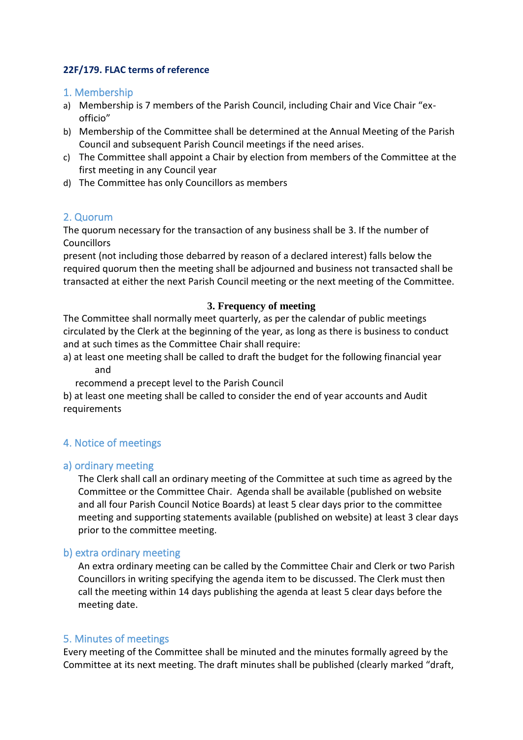# **22F/179. FLAC terms of reference**

## 1. Membership

- a) Membership is 7 members of the Parish Council, including Chair and Vice Chair "exofficio"
- b) Membership of the Committee shall be determined at the Annual Meeting of the Parish Council and subsequent Parish Council meetings if the need arises.
- c) The Committee shall appoint a Chair by election from members of the Committee at the first meeting in any Council year
- d) The Committee has only Councillors as members

# 2. Quorum

The quorum necessary for the transaction of any business shall be 3. If the number of **Councillors** 

present (not including those debarred by reason of a declared interest) falls below the required quorum then the meeting shall be adjourned and business not transacted shall be transacted at either the next Parish Council meeting or the next meeting of the Committee.

#### **3. Frequency of meeting**

The Committee shall normally meet quarterly, as per the calendar of public meetings circulated by the Clerk at the beginning of the year, as long as there is business to conduct and at such times as the Committee Chair shall require:

a) at least one meeting shall be called to draft the budget for the following financial year and

recommend a precept level to the Parish Council

b) at least one meeting shall be called to consider the end of year accounts and Audit requirements

## 4. Notice of meetings

## a) ordinary meeting

The Clerk shall call an ordinary meeting of the Committee at such time as agreed by the Committee or the Committee Chair. Agenda shall be available (published on website and all four Parish Council Notice Boards) at least 5 clear days prior to the committee meeting and supporting statements available (published on website) at least 3 clear days prior to the committee meeting.

## b) extra ordinary meeting

An extra ordinary meeting can be called by the Committee Chair and Clerk or two Parish Councillors in writing specifying the agenda item to be discussed. The Clerk must then call the meeting within 14 days publishing the agenda at least 5 clear days before the meeting date.

## 5. Minutes of meetings

Every meeting of the Committee shall be minuted and the minutes formally agreed by the Committee at its next meeting. The draft minutes shall be published (clearly marked "draft,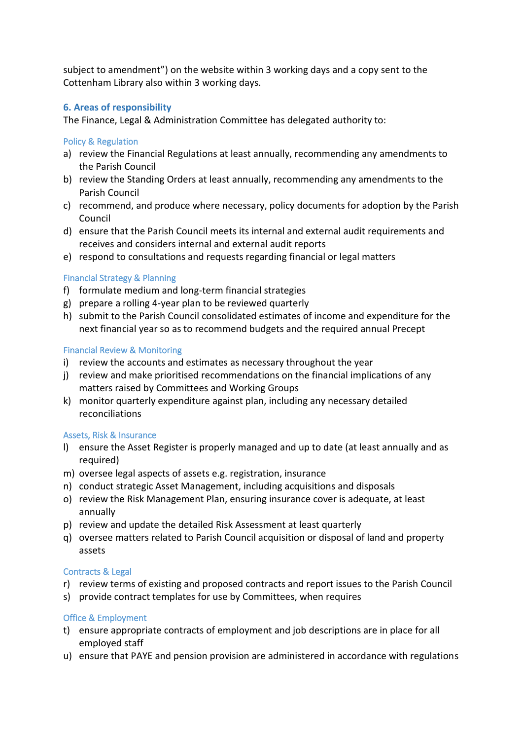subject to amendment") on the website within 3 working days and a copy sent to the Cottenham Library also within 3 working days.

## **6. Areas of responsibility**

The Finance, Legal & Administration Committee has delegated authority to:

## Policy & Regulation

- a) review the Financial Regulations at least annually, recommending any amendments to the Parish Council
- b) review the Standing Orders at least annually, recommending any amendments to the Parish Council
- c) recommend, and produce where necessary, policy documents for adoption by the Parish Council
- d) ensure that the Parish Council meets its internal and external audit requirements and receives and considers internal and external audit reports
- e) respond to consultations and requests regarding financial or legal matters

## Financial Strategy & Planning

- f) formulate medium and long-term financial strategies
- g) prepare a rolling 4-year plan to be reviewed quarterly
- h) submit to the Parish Council consolidated estimates of income and expenditure for the next financial year so as to recommend budgets and the required annual Precept

## Financial Review & Monitoring

- i) review the accounts and estimates as necessary throughout the year
- j) review and make prioritised recommendations on the financial implications of any matters raised by Committees and Working Groups
- k) monitor quarterly expenditure against plan, including any necessary detailed reconciliations

## Assets, Risk & Insurance

- l) ensure the Asset Register is properly managed and up to date (at least annually and as required)
- m) oversee legal aspects of assets e.g. registration, insurance
- n) conduct strategic Asset Management, including acquisitions and disposals
- o) review the Risk Management Plan, ensuring insurance cover is adequate, at least annually
- p) review and update the detailed Risk Assessment at least quarterly
- q) oversee matters related to Parish Council acquisition or disposal of land and property assets

## Contracts & Legal

- r) review terms of existing and proposed contracts and report issues to the Parish Council
- s) provide contract templates for use by Committees, when requires

## Office & Employment

- t) ensure appropriate contracts of employment and job descriptions are in place for all employed staff
- u) ensure that PAYE and pension provision are administered in accordance with regulations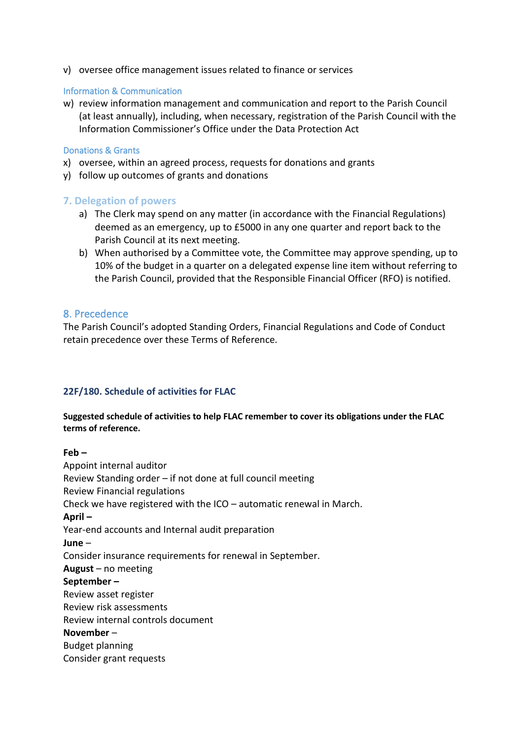v) oversee office management issues related to finance or services

#### Information & Communication

w) review information management and communication and report to the Parish Council (at least annually), including, when necessary, registration of the Parish Council with the Information Commissioner's Office under the Data Protection Act

#### Donations & Grants

- x) oversee, within an agreed process, requests for donations and grants
- y) follow up outcomes of grants and donations

## **7. Delegation of powers**

- a) The Clerk may spend on any matter (in accordance with the Financial Regulations) deemed as an emergency, up to £5000 in any one quarter and report back to the Parish Council at its next meeting.
- b) When authorised by a Committee vote, the Committee may approve spending, up to 10% of the budget in a quarter on a delegated expense line item without referring to the Parish Council, provided that the Responsible Financial Officer (RFO) is notified.

## 8. Precedence

The Parish Council's adopted Standing Orders, Financial Regulations and Code of Conduct retain precedence over these Terms of Reference.

## **22F/180. Schedule of activities for FLAC**

## **Suggested schedule of activities to help FLAC remember to cover its obligations under the FLAC terms of reference.**

**Feb –** Appoint internal auditor Review Standing order – if not done at full council meeting Review Financial regulations Check we have registered with the ICO – automatic renewal in March. **April –** Year-end accounts and Internal audit preparation **June** – Consider insurance requirements for renewal in September. **August** – no meeting **September –** Review asset register Review risk assessments Review internal controls document **November** – Budget planning Consider grant requests